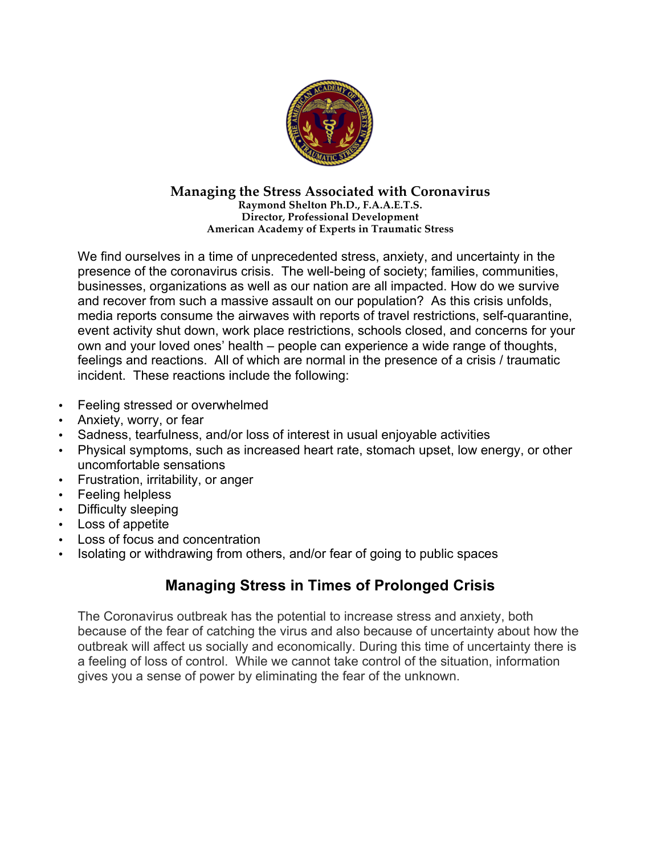

#### **Managing the Stress Associated with Coronavirus Raymond Shelton Ph.D., F.A.A.E.T.S. Director, Professional Development American Academy of Experts in Traumatic Stress**

We find ourselves in a time of unprecedented stress, anxiety, and uncertainty in the presence of the coronavirus crisis. The well-being of society; families, communities, businesses, organizations as well as our nation are all impacted. How do we survive and recover from such a massive assault on our population? As this crisis unfolds, media reports consume the airwaves with reports of travel restrictions, self-quarantine, event activity shut down, work place restrictions, schools closed, and concerns for your own and your loved ones' health – people can experience a wide range of thoughts, feelings and reactions. All of which are normal in the presence of a crisis / traumatic incident. These reactions include the following:

- Feeling stressed or overwhelmed
- Anxiety, worry, or fear
- Sadness, tearfulness, and/or loss of interest in usual enjoyable activities
- Physical symptoms, such as increased heart rate, stomach upset, low energy, or other uncomfortable sensations
- Frustration, irritability, or anger
- Feeling helpless
- Difficulty sleeping
- Loss of appetite
- Loss of focus and concentration
- Isolating or withdrawing from others, and/or fear of going to public spaces

# **Managing Stress in Times of Prolonged Crisis**

The Coronavirus outbreak has the potential to increase stress and anxiety, both because of the fear of catching the virus and also because of uncertainty about how the outbreak will affect us socially and economically. During this time of uncertainty there is a feeling of loss of control. While we cannot take control of the situation, information gives you a sense of power by eliminating the fear of the unknown.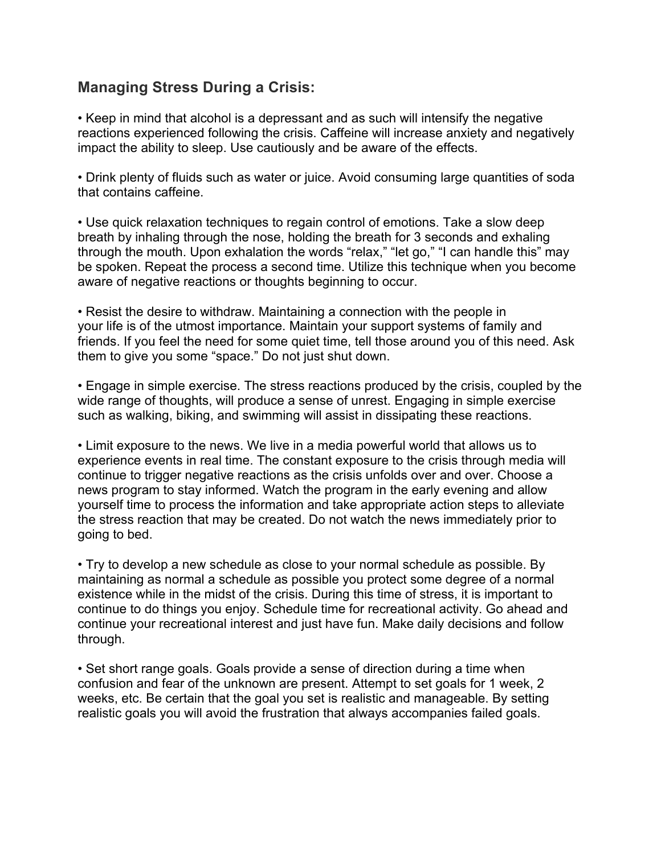### **Managing Stress During a Crisis:**

• Keep in mind that alcohol is a depressant and as such will intensify the negative reactions experienced following the crisis. Caffeine will increase anxiety and negatively impact the ability to sleep. Use cautiously and be aware of the effects.

• Drink plenty of fluids such as water or juice. Avoid consuming large quantities of soda that contains caffeine.

• Use quick relaxation techniques to regain control of emotions. Take a slow deep breath by inhaling through the nose, holding the breath for 3 seconds and exhaling through the mouth. Upon exhalation the words "relax," "let go," "I can handle this" may be spoken. Repeat the process a second time. Utilize this technique when you become aware of negative reactions or thoughts beginning to occur.

• Resist the desire to withdraw. Maintaining a connection with the people in your life is of the utmost importance. Maintain your support systems of family and friends. If you feel the need for some quiet time, tell those around you of this need. Ask them to give you some "space." Do not just shut down.

• Engage in simple exercise. The stress reactions produced by the crisis, coupled by the wide range of thoughts, will produce a sense of unrest. Engaging in simple exercise such as walking, biking, and swimming will assist in dissipating these reactions.

• Limit exposure to the news. We live in a media powerful world that allows us to experience events in real time. The constant exposure to the crisis through media will continue to trigger negative reactions as the crisis unfolds over and over. Choose a news program to stay informed. Watch the program in the early evening and allow yourself time to process the information and take appropriate action steps to alleviate the stress reaction that may be created. Do not watch the news immediately prior to going to bed.

• Try to develop a new schedule as close to your normal schedule as possible. By maintaining as normal a schedule as possible you protect some degree of a normal existence while in the midst of the crisis. During this time of stress, it is important to continue to do things you enjoy. Schedule time for recreational activity. Go ahead and continue your recreational interest and just have fun. Make daily decisions and follow through.

• Set short range goals. Goals provide a sense of direction during a time when confusion and fear of the unknown are present. Attempt to set goals for 1 week, 2 weeks, etc. Be certain that the goal you set is realistic and manageable. By setting realistic goals you will avoid the frustration that always accompanies failed goals.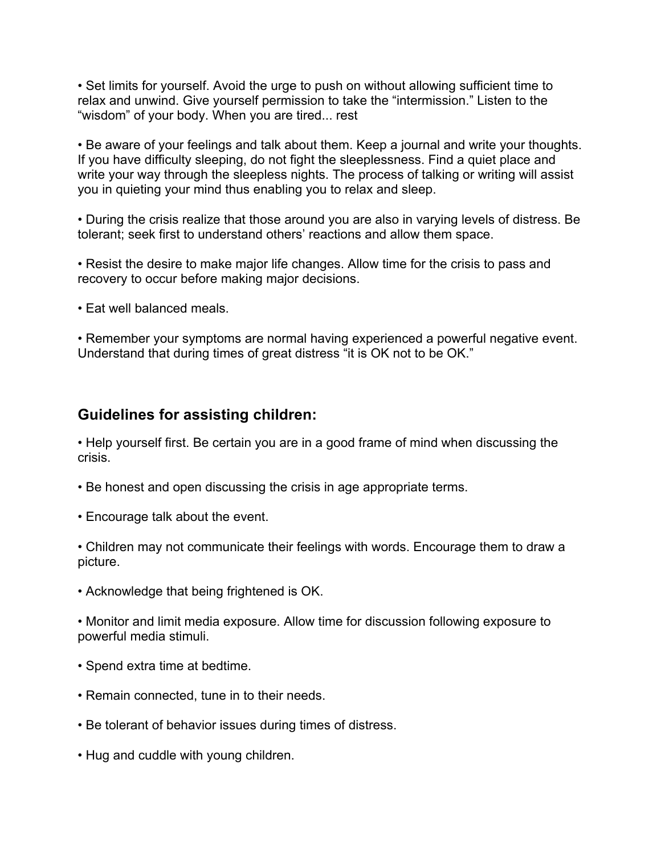• Set limits for yourself. Avoid the urge to push on without allowing sufficient time to relax and unwind. Give yourself permission to take the "intermission." Listen to the "wisdom" of your body. When you are tired... rest

• Be aware of your feelings and talk about them. Keep a journal and write your thoughts. If you have difficulty sleeping, do not fight the sleeplessness. Find a quiet place and write your way through the sleepless nights. The process of talking or writing will assist you in quieting your mind thus enabling you to relax and sleep.

• During the crisis realize that those around you are also in varying levels of distress. Be tolerant; seek first to understand others' reactions and allow them space.

• Resist the desire to make major life changes. Allow time for the crisis to pass and recovery to occur before making major decisions.

• Eat well balanced meals.

• Remember your symptoms are normal having experienced a powerful negative event. Understand that during times of great distress "it is OK not to be OK."

#### **Guidelines for assisting children:**

• Help yourself first. Be certain you are in a good frame of mind when discussing the crisis.

- Be honest and open discussing the crisis in age appropriate terms.
- Encourage talk about the event.

• Children may not communicate their feelings with words. Encourage them to draw a picture.

• Acknowledge that being frightened is OK.

• Monitor and limit media exposure. Allow time for discussion following exposure to powerful media stimuli.

- Spend extra time at bedtime.
- Remain connected, tune in to their needs.
- Be tolerant of behavior issues during times of distress.
- Hug and cuddle with young children.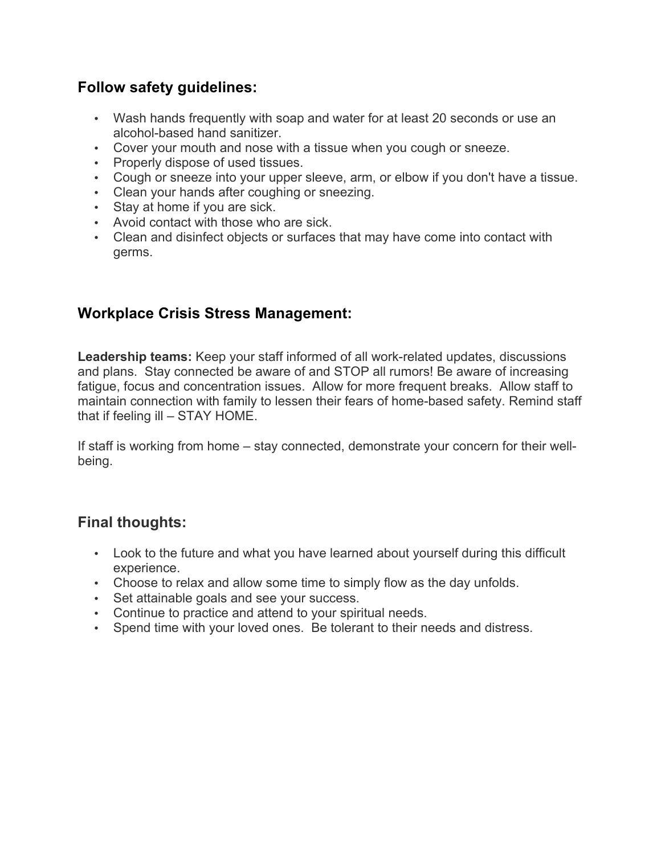## **Follow safety guidelines:**

- Wash hands frequently with soap and water for at least 20 seconds or use an alcohol-based hand sanitizer.
- Cover your mouth and nose with a tissue when you cough or sneeze.
- Properly dispose of used tissues.
- Cough or sneeze into your upper sleeve, arm, or elbow if you don't have a tissue.
- Clean your hands after coughing or sneezing.
- Stay at home if you are sick.
- Avoid contact with those who are sick.
- Clean and disinfect objects or surfaces that may have come into contact with germs.

## **Workplace Crisis Stress Management:**

**Leadership teams:** Keep your staff informed of all work-related updates, discussions and plans. Stay connected be aware of and STOP all rumors! Be aware of increasing fatigue, focus and concentration issues. Allow for more frequent breaks. Allow staff to maintain connection with family to lessen their fears of home-based safety. Remind staff that if feeling ill – STAY HOME.

If staff is working from home – stay connected, demonstrate your concern for their wellbeing.

## **Final thoughts:**

- Look to the future and what you have learned about yourself during this difficult experience.
- Choose to relax and allow some time to simply flow as the day unfolds.
- Set attainable goals and see your success.
- Continue to practice and attend to your spiritual needs.
- Spend time with your loved ones. Be tolerant to their needs and distress.